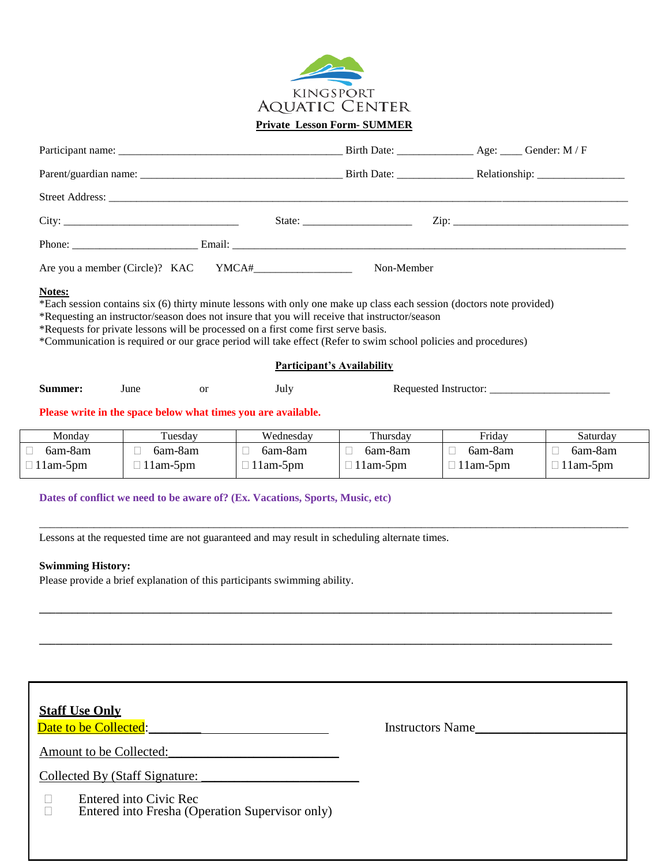

**Private Lesson Form- SUMMER** 

|         |      |               |                                                                                                                                                                                     | Non-Member                        |                                                                                                                                                                                                                                         |              |
|---------|------|---------------|-------------------------------------------------------------------------------------------------------------------------------------------------------------------------------------|-----------------------------------|-----------------------------------------------------------------------------------------------------------------------------------------------------------------------------------------------------------------------------------------|--------------|
|         |      |               | *Requesting an instructor/season does not insure that you will receive that instructor/season<br>*Requests for private lessons will be processed on a first come first serve basis. |                                   | *Each session contains six (6) thirty minute lessons with only one make up class each session (doctors note provided)<br>*Communication is required or our grace period will take effect (Refer to swim school policies and procedures) |              |
|         |      |               |                                                                                                                                                                                     | <b>Participant's Availability</b> |                                                                                                                                                                                                                                         |              |
| Summer: | June | <sub>or</sub> | July                                                                                                                                                                                |                                   |                                                                                                                                                                                                                                         |              |
|         |      |               | Please write in the space below what times you are available.                                                                                                                       |                                   |                                                                                                                                                                                                                                         |              |
| Monday  |      | Tuesday       | Wednesday                                                                                                                                                                           | Thursday                          | Friday                                                                                                                                                                                                                                  | Saturday     |
| 6am-8am | П    | 6am-8am       | 6am-8am<br>$\Box$                                                                                                                                                                   | 6am-8am<br>П                      | $\Box$<br>6am-8am                                                                                                                                                                                                                       | 6am-8am<br>П |

\_\_\_\_\_\_\_\_\_\_\_\_\_\_\_\_\_\_\_\_\_\_\_\_\_\_\_\_\_\_\_\_\_\_\_\_\_\_\_\_\_\_\_\_\_\_\_\_\_\_\_\_\_\_\_\_\_\_\_\_\_\_\_\_\_\_\_\_\_\_\_\_\_\_\_\_\_\_\_\_\_\_\_\_\_\_\_\_\_\_\_\_\_\_\_\_\_\_\_\_\_\_\_\_\_\_\_\_

**\_\_\_\_\_\_\_\_\_\_\_\_\_\_\_\_\_\_\_\_\_\_\_\_\_\_\_\_\_\_\_\_\_\_\_\_\_\_\_\_\_\_\_\_\_\_\_\_\_\_\_\_\_\_\_\_\_\_\_\_\_\_\_\_\_\_\_\_\_\_\_\_\_\_\_\_\_\_\_\_\_\_\_\_\_\_\_\_\_\_\_\_\_\_\_\_\_\_\_\_\_\_\_\_\_**

**\_\_\_\_\_\_\_\_\_\_\_\_\_\_\_\_\_\_\_\_\_\_\_\_\_\_\_\_\_\_\_\_\_\_\_\_\_\_\_\_\_\_\_\_\_\_\_\_\_\_\_\_\_\_\_\_\_\_\_\_\_\_\_\_\_\_\_\_\_\_\_\_\_\_\_\_\_\_\_\_\_\_\_\_\_\_\_\_\_\_\_\_\_\_\_\_\_\_\_\_\_\_\_\_\_**

 $\Box$  11am-5pm

 $\Box$  11am-5pm

 $\Box$  11am-5pm

## **Dates of conflict we need to be aware of? (Ex. Vacations, Sports, Music, etc)**

Lessons at the requested time are not guaranteed and may result in scheduling alternate times.

 $\Box$  11am-5pm

## **Swimming History:**

 $\Box$ 

 $\Box$  11am-5pm

Please provide a brief explanation of this participants swimming ability.

 $\Box$  11am-5pm

| Date to be Collected:          | <b>Instructors Name</b> |
|--------------------------------|-------------------------|
|                                |                         |
| Amount to be Collected:        |                         |
| Collected By (Staff Signature: |                         |
| Entered into Civic Rec         |                         |